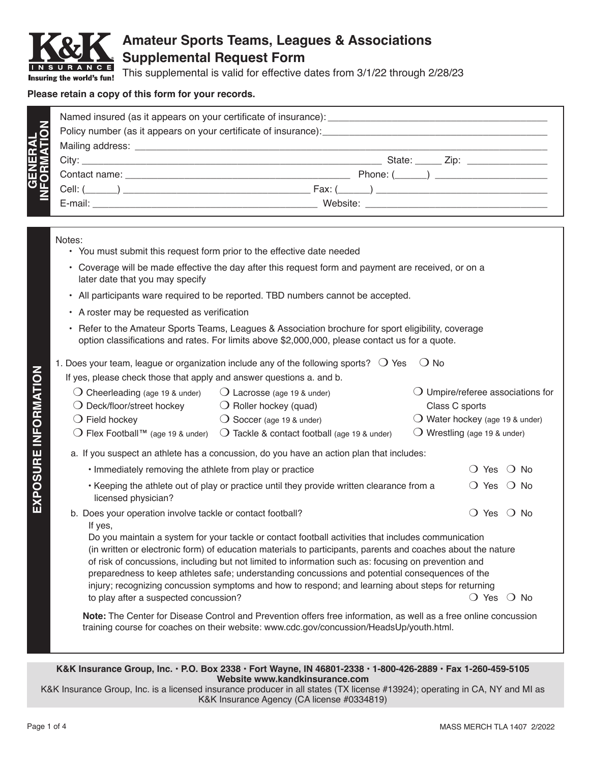

## **Amateur Sports Teams, Leagues & Associations Supplemental Request Form**

This supplemental is valid for effective dates from 3/1/22 through 2/28/23

## **Please retain a copy of this form for your records.**

|                                | Named insured (as it appears on your certificate of insurance): |                                     |  |  |  |
|--------------------------------|-----------------------------------------------------------------|-------------------------------------|--|--|--|
|                                |                                                                 |                                     |  |  |  |
|                                |                                                                 |                                     |  |  |  |
|                                |                                                                 | State: ______ Zip: ________________ |  |  |  |
|                                |                                                                 |                                     |  |  |  |
| <b>GENERAL<br/>INFORMATION</b> |                                                                 | Fax: ( )                            |  |  |  |
|                                |                                                                 |                                     |  |  |  |

## Notes:

- You must submit this request form prior to the effective date needed
- Coverage will be made effective the day after this request form and payment are received, or on a later date that you may specify
- All participants ware required to be reported. TBD numbers cannot be accepted.
- A roster may be requested as verification
- Refer to the Amateur Sports Teams, Leagues & Association brochure for sport eligibility, coverage option classifications and rates. For limits above \$2,000,000, please contact us for a quote.

|  | 1. Does your team, league or organization include any of the following sports? $\bigcirc$ Yes $\bigcirc$ No |  |  |  |  |  |  |  |
|--|-------------------------------------------------------------------------------------------------------------|--|--|--|--|--|--|--|
|--|-------------------------------------------------------------------------------------------------------------|--|--|--|--|--|--|--|

If yes, please check those that apply and answer questions a. and b.

| Cheerleading (age 19 & under)                                         | $\bigcirc$ Lacrosse (age 19 & under)                                                                         | Umpire/referee associations for          |                       |
|-----------------------------------------------------------------------|--------------------------------------------------------------------------------------------------------------|------------------------------------------|-----------------------|
| $\bigcirc$ Deck/floor/street hockey                                   | $\bigcirc$ Roller hockey (quad)                                                                              | Class C sports                           |                       |
| $\bigcirc$ Field hockey                                               | $\bigcirc$ Soccer (age 19 & under)                                                                           | $\bigcirc$ Water hockey (age 19 & under) |                       |
| ◯ Flex Football <sup>™</sup> (age 19 & under)                         | $\bigcirc$ Tackle & contact football (age 19 & under)                                                        | Wrestling (age 19 & under)               |                       |
|                                                                       | a. If you suspect an athlete has a concussion, do you have an action plan that includes:                     |                                          |                       |
| . Immediately removing the athlete from play or practice              |                                                                                                              | Yes                                      | No.<br>$\blacksquare$ |
| licensed physician?                                                   | • Keeping the athlete out of play or practice until they provide written clearance from a                    | Yes<br>$\left( \right)$                  | <b>No</b>             |
| b. Does your operation involve tackle or contact football?<br>If yes, |                                                                                                              | Yes<br>$\left( \right)$                  | $()$ No               |
|                                                                       | Do you maintain a system for your tackle or contact football activities that includes communication          |                                          |                       |
|                                                                       | (in written or electronic form) of education materials to participants, parents and coaches about the nature |                                          |                       |
|                                                                       | of risk of concussions, including but not limited to information such as: focusing on prevention and         |                                          |                       |
|                                                                       | preparedness to keep athletes safe; understanding concussions and potential consequences of the              |                                          |                       |
|                                                                       | injury; recognizing concussion symptoms and how to respond; and learning about steps for returning           |                                          |                       |
| to play after a suspected concussion?                                 |                                                                                                              | ○ Yes                                    | No.                   |

 **Note:** The Center for Disease Control and Prevention offers free information, as well as a free online concussion training course for coaches on their website: www.cdc.gov/concussion/HeadsUp/youth.html.

**K&K Insurance Group, Inc. • P.O. Box 2338 • Fort Wayne, IN 46801-2338 • 1-800-426-2889 • Fax 1-260-459-5105 Website www.kandkinsurance.com**

K&K Insurance Group, Inc. is a licensed insurance producer in all states (TX license #13924); operating in CA, NY and MI as K&K Insurance Agency (CA license #0334819)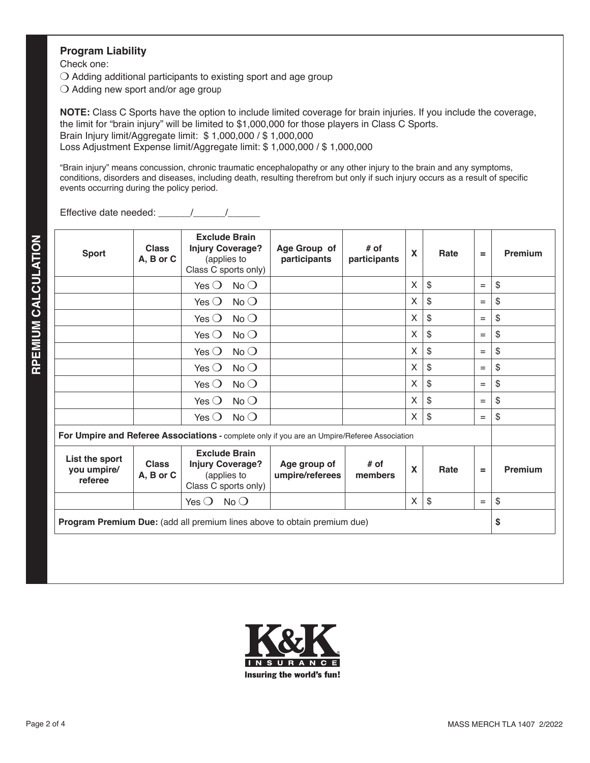## **Program Liability**

Check one:

 $\bigcirc$  Adding additional participants to existing sport and age group

 $\bigcirc$  Adding new sport and/or age group

**NOTE:** Class C Sports have the option to include limited coverage for brain injuries. If you include the coverage, the limit for "brain injury" will be limited to \$1,000,000 for those players in Class C Sports. Brain Injury limit/Aggregate limit: \$ 1,000,000 / \$ 1,000,000 Loss Adjustment Expense limit/Aggregate limit: \$ 1,000,000 / \$ 1,000,000

"Brain injury" means concussion, chronic traumatic encephalopathy or any other injury to the brain and any symptoms, conditions, disorders and diseases, including death, resulting therefrom but only if such injury occurs as a result of specific events occurring during the policy period.

Effective date needed:  $\frac{1}{2}$  /

| <b>Sport</b>                             | <b>Class</b><br>A, B or C | <b>Exclude Brain</b><br><b>Injury Coverage?</b><br>(applies to<br>Class C sports only)       | Age Group of<br>participants    | $#$ of<br>participants | X | Rate                      | $=$ | Premium |
|------------------------------------------|---------------------------|----------------------------------------------------------------------------------------------|---------------------------------|------------------------|---|---------------------------|-----|---------|
|                                          |                           | Yes $\bigcirc$<br>$No$ $O$                                                                   |                                 |                        | X | $\mathfrak{s}$            | $=$ | \$      |
|                                          |                           | No<br>Yes $\bigcirc$                                                                         |                                 |                        | X | \$                        | $=$ | \$      |
|                                          |                           | $No$ $O$<br>Yes $\bigcirc$                                                                   |                                 |                        | X | \$                        | $=$ | \$      |
|                                          |                           | $No$ $O$<br>Yes $\bigcirc$                                                                   |                                 |                        | X | \$                        | $=$ | \$      |
|                                          |                           | $No$ $O$<br>Yes $\bigcirc$                                                                   |                                 |                        | X | \$                        | $=$ | \$      |
|                                          |                           | No<br>Yes $\bigcirc$                                                                         |                                 |                        | X | \$                        | $=$ | \$      |
|                                          |                           | $No$ $O$<br>Yes $\bigcirc$                                                                   |                                 |                        | X | \$                        | $=$ | \$      |
|                                          |                           | $No$ $O$<br>Yes $\bigcirc$                                                                   |                                 |                        | X | \$                        | $=$ | \$      |
|                                          |                           | $No$ $O$<br>Yes $\bigcirc$                                                                   |                                 |                        | X | \$                        | $=$ | \$      |
|                                          |                           | For Umpire and Referee Associations - complete only if you are an Umpire/Referee Association |                                 |                        |   |                           |     |         |
| List the sport<br>you umpire/<br>referee | <b>Class</b><br>A, B or C | <b>Exclude Brain</b><br><b>Injury Coverage?</b><br>(applies to<br>Class C sports only)       | Age group of<br>umpire/referees | # of<br>members        | X | Rate                      | =   | Premium |
|                                          |                           | Yes $\bigcirc$<br>$No$ $O$                                                                   |                                 |                        | X | $\boldsymbol{\mathsf{S}}$ | $=$ | \$      |
|                                          |                           | <b>Program Premium Due:</b> (add all premium lines above to obtain premium due)              |                                 |                        |   |                           |     | \$      |

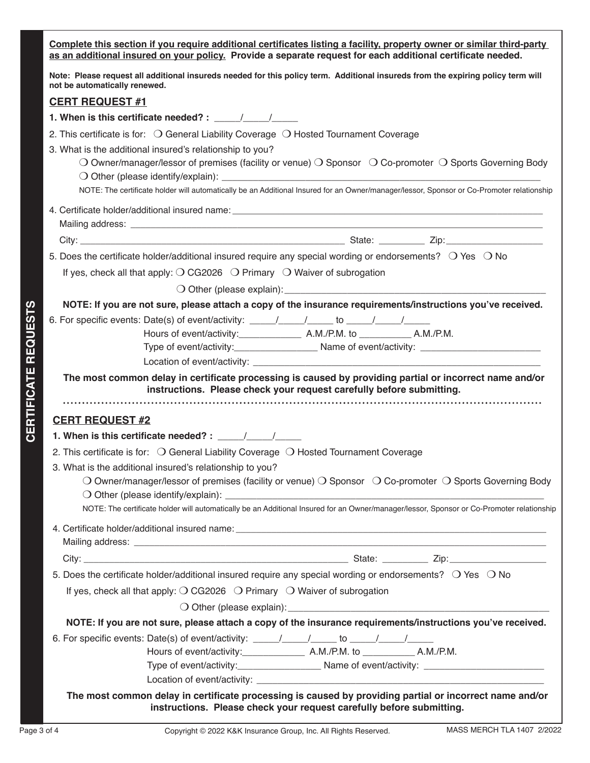|                 | Complete this section if you require additional certificates listing a facility, property owner or similar third-party<br>as an additional insured on your policy. Provide a separate request for each additional certificate needed. |  |  |  |  |  |
|-----------------|---------------------------------------------------------------------------------------------------------------------------------------------------------------------------------------------------------------------------------------|--|--|--|--|--|
|                 | Note: Please request all additional insureds needed for this policy term. Additional insureds from the expiring policy term will<br>not be automatically renewed.                                                                     |  |  |  |  |  |
|                 | <b>CERT REQUEST #1</b>                                                                                                                                                                                                                |  |  |  |  |  |
|                 | 1. When is this certificate needed? : $\frac{1}{\sqrt{1-\frac{1}{2}}}\frac{1}{\sqrt{1-\frac{1}{2}}}}$                                                                                                                                 |  |  |  |  |  |
|                 | 2. This certificate is for: O General Liability Coverage O Hosted Tournament Coverage                                                                                                                                                 |  |  |  |  |  |
|                 | 3. What is the additional insured's relationship to you?                                                                                                                                                                              |  |  |  |  |  |
|                 | O Owner/manager/lessor of premises (facility or venue) O Sponsor $\circ$ Co-promoter O Sports Governing Body                                                                                                                          |  |  |  |  |  |
|                 |                                                                                                                                                                                                                                       |  |  |  |  |  |
|                 | NOTE: The certificate holder will automatically be an Additional Insured for an Owner/manager/lessor, Sponsor or Co-Promoter relationship                                                                                             |  |  |  |  |  |
|                 |                                                                                                                                                                                                                                       |  |  |  |  |  |
|                 |                                                                                                                                                                                                                                       |  |  |  |  |  |
|                 |                                                                                                                                                                                                                                       |  |  |  |  |  |
|                 | 5. Does the certificate holder/additional insured require any special wording or endorsements? $\bigcirc$ Yes $\bigcirc$ No                                                                                                           |  |  |  |  |  |
|                 | If yes, check all that apply: $\bigcirc$ CG2026 $\bigcirc$ Primary $\bigcirc$ Waiver of subrogation                                                                                                                                   |  |  |  |  |  |
|                 | O Other (please explain): example and a set of the set of the set of the set of the set of the set of the set of the set of the set of the set of the set of the set of the set of the set of the set of the set of the set of        |  |  |  |  |  |
|                 | NOTE: If you are not sure, please attach a copy of the insurance requirements/instructions you've received.                                                                                                                           |  |  |  |  |  |
| <b>REQUESTS</b> |                                                                                                                                                                                                                                       |  |  |  |  |  |
|                 |                                                                                                                                                                                                                                       |  |  |  |  |  |
|                 |                                                                                                                                                                                                                                       |  |  |  |  |  |
|                 |                                                                                                                                                                                                                                       |  |  |  |  |  |
| CERTIFICATE     | The most common delay in certificate processing is caused by providing partial or incorrect name and/or<br>instructions. Please check your request carefully before submitting.                                                       |  |  |  |  |  |
|                 |                                                                                                                                                                                                                                       |  |  |  |  |  |
|                 | <b>CERT REQUEST #2</b>                                                                                                                                                                                                                |  |  |  |  |  |
|                 |                                                                                                                                                                                                                                       |  |  |  |  |  |
|                 | 2. This certificate is for: O General Liability Coverage O Hosted Tournament Coverage                                                                                                                                                 |  |  |  |  |  |
|                 | 3. What is the additional insured's relationship to you?                                                                                                                                                                              |  |  |  |  |  |
|                 | O Owner/manager/lessor of premises (facility or venue) O Sponsor O Co-promoter O Sports Governing Body                                                                                                                                |  |  |  |  |  |
|                 |                                                                                                                                                                                                                                       |  |  |  |  |  |
|                 | NOTE: The certificate holder will automatically be an Additional Insured for an Owner/manager/lessor, Sponsor or Co-Promoter relationship                                                                                             |  |  |  |  |  |
|                 |                                                                                                                                                                                                                                       |  |  |  |  |  |
|                 |                                                                                                                                                                                                                                       |  |  |  |  |  |
|                 |                                                                                                                                                                                                                                       |  |  |  |  |  |
|                 | 5. Does the certificate holder/additional insured require any special wording or endorsements? O Yes O No                                                                                                                             |  |  |  |  |  |
|                 | If yes, check all that apply: $\bigcirc$ CG2026 $\bigcirc$ Primary $\bigcirc$ Waiver of subrogation                                                                                                                                   |  |  |  |  |  |
|                 | O Other (please explain): explained a state of the state of the state of the state of the state of the state of the state of the state of the state of the state of the state of the state of the state of the state of the st        |  |  |  |  |  |
|                 | NOTE: If you are not sure, please attach a copy of the insurance requirements/instructions you've received.                                                                                                                           |  |  |  |  |  |
|                 |                                                                                                                                                                                                                                       |  |  |  |  |  |
|                 |                                                                                                                                                                                                                                       |  |  |  |  |  |
|                 |                                                                                                                                                                                                                                       |  |  |  |  |  |
|                 |                                                                                                                                                                                                                                       |  |  |  |  |  |
|                 | The most common delay in certificate processing is caused by providing partial or incorrect name and/or<br>instructions. Please check your request carefully before submitting.                                                       |  |  |  |  |  |
| Page 3 of 4     | MASS MERCH TLA 1407 2/2022<br>Copyright © 2022 K&K Insurance Group, Inc. All Rights Reserved.                                                                                                                                         |  |  |  |  |  |